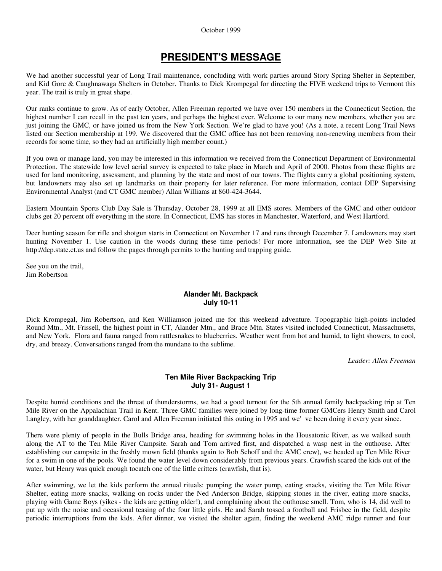#### October 1999

# **PRESIDENT'S MESSAGE**

We had another successful year of Long Trail maintenance, concluding with work parties around Story Spring Shelter in September, and Kid Gore & Caughnawaga Shelters in October. Thanks to Dick Krompegal for directing the FIVE weekend trips to Vermont this year. The trail is truly in great shape.

Our ranks continue to grow. As of early October, Allen Freeman reported we have over 150 members in the Connecticut Section, the highest number I can recall in the past ten years, and perhaps the highest ever. Welcome to our many new members, whether you are just joining the GMC, or have joined us from the New York Section. We're glad to have you! (As a note, a recent Long Trail News listed our Section membership at 199. We discovered that the GMC office has not been removing non-renewing members from their records for some time, so they had an artificially high member count.)

If you own or manage land, you may be interested in this information we received from the Connecticut Department of Environmental Protection. The statewide low level aerial survey is expected to take place in March and April of 2000. Photos from these flights are used for land monitoring, assessment, and planning by the state and most of our towns. The flights carry a global positioning system, but landowners may also set up landmarks on their property for later reference. For more information, contact DEP Supervising Environmental Analyst (and CT GMC member) Allan Williams at 860-424-3644.

Eastern Mountain Sports Club Day Sale is Thursday, October 28, 1999 at all EMS stores. Members of the GMC and other outdoor clubs get 20 percent off everything in the store. In Connecticut, EMS has stores in Manchester, Waterford, and West Hartford.

Deer hunting season for rifle and shotgun starts in Connecticut on November 17 and runs through December 7. Landowners may start hunting November 1. Use caution in the woods during these time periods! For more information, see the DEP Web Site at http://dep.state.ct.us and follow the pages through permits to the hunting and trapping guide.

See you on the trail, Jim Robertson

# **Alander Mt. Backpack July 10-11**

Dick Krompegal, Jim Robertson, and Ken Williamson joined me for this weekend adventure. Topographic high-points included Round Mtn., Mt. Frissell, the highest point in CT, Alander Mtn., and Brace Mtn. States visited included Connecticut, Massachusetts, and New York. Flora and fauna ranged from rattlesnakes to blueberries. Weather went from hot and humid, to light showers, to cool, dry, and breezy. Conversations ranged from the mundane to the sublime.

*Leader: Allen Freeman*

# **Ten Mile River Backpacking Trip July 31- August 1**

Despite humid conditions and the threat of thunderstorms, we had a good turnout for the 5th annual family backpacking trip at Ten Mile River on the Appalachian Trail in Kent. Three GMC families were joined by long-time former GMCers Henry Smith and Carol Langley, with her granddaughter. Carol and Allen Freeman initiated this outing in 1995 and we've been doing it every year since.

There were plenty of people in the Bulls Bridge area, heading for swimming holes in the Housatonic River, as we walked south along the AT to the Ten Mile River Campsite. Sarah and Tom arrived first, and dispatched a wasp nest in the outhouse. After establishing our campsite in the freshly mown field (thanks again to Bob Schoff and the AMC crew), we headed up Ten Mile River for a swim in one of the pools. We found the water level down considerably from previous years. Crawfish scared the kids out of the water, but Henry was quick enough tocatch one of the little critters (crawfish, that is).

After swimming, we let the kids perform the annual rituals: pumping the water pump, eating snacks, visiting the Ten Mile River Shelter, eating more snacks, walking on rocks under the Ned Anderson Bridge, skipping stones in the river, eating more snacks, playing with Game Boys (yikes - the kids are getting older!), and complaining about the outhouse smell. Tom, who is 14, did well to put up with the noise and occasional teasing of the four little girls. He and Sarah tossed a football and Frisbee in the field, despite periodic interruptions from the kids. After dinner, we visited the shelter again, finding the weekend AMC ridge runner and four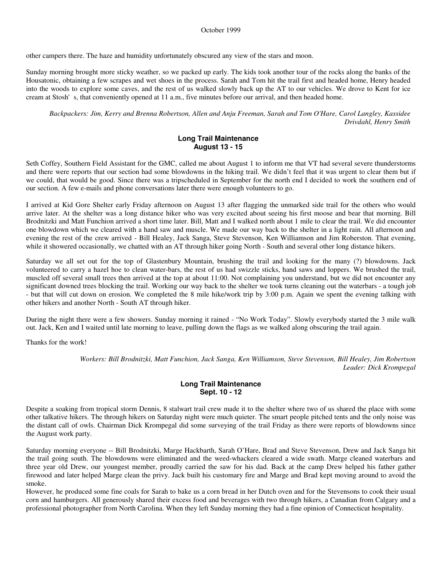other campers there. The haze and humidity unfortunately obscured any view of the stars and moon.

Sunday morning brought more sticky weather, so we packed up early. The kids took another tour of the rocks along the banks of the Housatonic, obtaining a few scrapes and wet shoes in the process. Sarah and Tom hit the trail first and headed home, Henry headed into the woods to explore some caves, and the rest of us walked slowly back up the AT to our vehicles. We drove to Kent for ice cream at Stosh's, that conveniently opened at 11 a.m., five minutes before our arrival, and then headed home.

*Backpackers: Jim, Kerry and Brenna Robertson, Allen and Anju Freeman, Sarah and Tom O'Hare, Carol Langley, Kassidee Drivdahl, Henry Smith*

### **Long Trail Maintenance August 13 - 15**

Seth Coffey, Southern Field Assistant for the GMC, called me about August 1 to inform me that VT had several severe thunderstorms and there were reports that our section had some blowdowns in the hiking trail. We didn't feel that it was urgent to clear them but if we could, that would be good. Since there was a tripscheduled in September for the north end I decided to work the southern end of our section. A few e-mails and phone conversations later there were enough volunteers to go.

I arrived at Kid Gore Shelter early Friday afternoon on August 13 after flagging the unmarked side trail for the others who would arrive later. At the shelter was a long distance hiker who was very excited about seeing his first moose and bear that morning. Bill Brodnitzki and Matt Funchion arrived a short time later. Bill, Matt and I walked north about 1 mile to clear the trail. We did encounter one blowdown which we cleared with a hand saw and muscle. We made our way back to the shelter in a light rain. All afternoon and evening the rest of the crew arrived - Bill Healey, Jack Sanga, Steve Stevenson, Ken Williamson and Jim Roberston. That evening, while it showered occasionally, we chatted with an AT through hiker going North - South and several other long distance hikers.

Saturday we all set out for the top of Glastenbury Mountain, brushing the trail and looking for the many (?) blowdowns. Jack volunteered to carry a hazel hoe to clean water-bars, the rest of us had swizzle sticks, hand saws and loppers. We brushed the trail, muscled off several small trees then arrived at the top at about 11:00. Not complaining you understand, but we did not encounter any significant downed trees blocking the trail. Working our way back to the shelter we took turns cleaning out the waterbars - a tough job - but that will cut down on erosion. We completed the 8 mile hike/work trip by 3:00 p.m. Again we spent the evening talking with other hikers and another North - South AT through hiker.

During the night there were a few showers. Sunday morning it rained - "No Work Today". Slowly everybody started the 3 mile walk out. Jack, Ken and I waited until late morning to leave, pulling down the flags as we walked along obscuring the trail again.

Thanks for the work!

*Workers: Bill Brodnitzki, Matt Funchion, Jack Sanga, Ken Williamson, Steve Stevenson, Bill Healey, Jim Robertson Leader: Dick Krompegal*

# **Long Trail Maintenance Sept. 10 - 12**

Despite a soaking from tropical storm Dennis, 8 stalwart trail crew made it to the shelter where two of us shared the place with some other talkative hikers. The through hikers on Saturday night were much quieter. The smart people pitched tents and the only noise was the distant call of owls. Chairman Dick Krompegal did some surveying of the trail Friday as there were reports of blowdowns since the August work party.

Saturday morning everyone -- Bill Brodnitzki, Marge Hackbarth, Sarah O'Hare, Brad and Steve Stevenson, Drew and Jack Sanga hit the trail going south. The blowdowns were eliminated and the weed-whackers cleared a wide swath. Marge cleaned waterbars and three year old Drew, our youngest member, proudly carried the saw for his dad. Back at the camp Drew helped his father gather firewood and later helped Marge clean the privy. Jack built his customary fire and Marge and Brad kept moving around to avoid the smoke.

However, he produced some fine coals for Sarah to bake us a corn bread in her Dutch oven and for the Stevensons to cook their usual corn and hamburgers. All generously shared their excess food and beverages with two through hikers, a Canadian from Calgary and a professional photographer from North Carolina. When they left Sunday morning they had a fine opinion of Connecticut hospitality.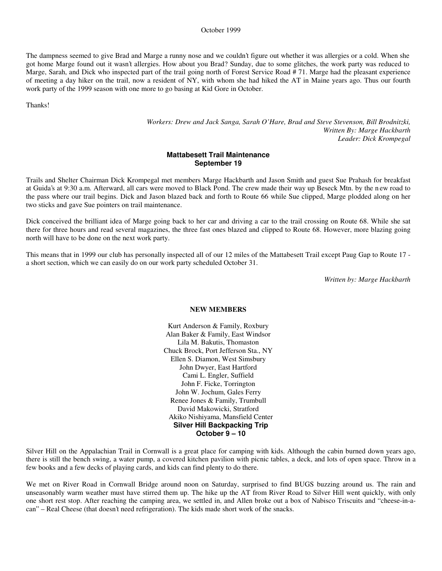#### October 1999

The dampness seemed to give Brad and Marge a runny nose and we couldn't figure out whether it was allergies or a cold. When she got home Marge found out it wasn't allergies. How about you Brad? Sunday, due to some glitches, the work party was reduced to Marge, Sarah, and Dick who inspected part of the trail going north of Forest Service Road # 71. Marge had the pleasant experience of meeting a day hiker on the trail, now a resident of NY, with whom she had hiked the AT in Maine years ago. Thus our fourth work party of the 1999 season with one more to go basing at Kid Gore in October.

Thanks!

*Workers: Drew and Jack Sanga, Sarah O'Hare, Brad and Steve Stevenson, Bill Brodnitzki, Written By: Marge Hackbarth Leader: Dick Krompegal*

#### **Mattabesett Trail Maintenance September 19**

Trails and Shelter Chairman Dick Krompegal met members Marge Hackbarth and Jason Smith and guest Sue Prahash for breakfast at Guida's at 9:30 a.m. Afterward, all cars were moved to Black Pond. The crew made their way up Beseck Mtn. by the n ew road to the pass where our trail begins. Dick and Jason blazed back and forth to Route 66 while Sue clipped, Marge plodded along on her two sticks and gave Sue pointers on trail maintenance.

Dick conceived the brilliant idea of Marge going back to her car and driving a car to the trail crossing on Route 68. While she sat there for three hours and read several magazines, the three fast ones blazed and clipped to Route 68. However, more blazing going north will have to be done on the next work party.

This means that in 1999 our club has personally inspected all of our 12 miles of the Mattabesett Trail except Paug Gap to Route 17 a short section, which we can easily do on our work party scheduled October 31.

*Written by: Marge Hackbarth*

#### **NEW MEMBERS**

Kurt Anderson & Family, Roxbury Alan Baker & Family, East Windsor Lila M. Bakutis, Thomaston Chuck Brock, Port Jefferson Sta., NY Ellen S. Diamon, West Simsbury John Dwyer, East Hartford Cami L. Engler, Suffield John F. Ficke, Torrington John W. Jochum, Gales Ferry Renee Jones & Family, Trumbull David Makowicki, Stratford Akiko Nishiyama, Mansfield Center **Silver Hill Backpacking Trip October 9 – 10**

Silver Hill on the Appalachian Trail in Cornwall is a great place for camping with kids. Although the cabin burned down years ago, there is still the bench swing, a water pump, a covered kitchen pavilion with picnic tables, a deck, and lots of open space. Throw in a few books and a few decks of playing cards, and kids can find plenty to do there.

We met on River Road in Cornwall Bridge around noon on Saturday, surprised to find BUGS buzzing around us. The rain and unseasonably warm weather must have stirred them up. The hike up the AT from River Road to Silver Hill went quickly, with only one short rest stop. After reaching the camping area, we settled in, and Allen broke out a box of Nabisco Triscuits and "cheese-in-acan" – Real Cheese (that doesn't need refrigeration). The kids made short work of the snacks.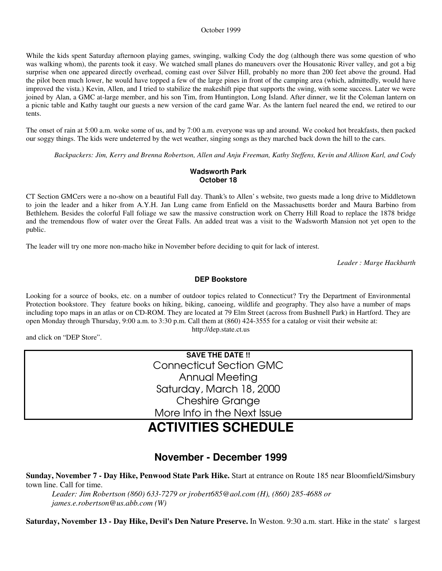#### October 1999

While the kids spent Saturday afternoon playing games, swinging, walking Cody the dog (although there was some question of who was walking whom), the parents took it easy. We watched small planes do maneuvers over the Housatonic River valley, and got a big surprise when one appeared directly overhead, coming east over Silver Hill, probably no more than 200 feet above the ground. Had the pilot been much lower, he would have topped a few of the large pines in front of the camping area (which, admittedly, would have improved the vista.) Kevin, Allen, and I tried to stabilize the makeshift pipe that supports the swing, with some success. Later we were joined by Alan, a GMC at-large member, and his son Tim, from Huntington, Long Island. After dinner, we lit the Coleman lantern on a picnic table and Kathy taught our guests a new version of the card game War. As the lantern fuel neared the end, we retired to our tents.

The onset of rain at 5:00 a.m. woke some of us, and by 7:00 a.m. everyone was up and around. We cooked hot breakfasts, then packed our soggy things. The kids were undeterred by the wet weather, singing songs as they marched back down the hill to the cars.

*Backpackers: Jim, Kerry and Brenna Robertson, Allen and Anju Freeman, Kathy Steffens, Kevin and Allison Karl, and Cody*

# **Wadsworth Park October 18**

CT Section GMCers were a no-show on a beautiful Fall day. Thank's to Allen' s website, two guests made a long drive to Middletown to join the leader and a hiker from A.Y.H. Jan Lung came from Enfield on the Massachusetts border and Maura Barbino from Bethlehem. Besides the colorful Fall foliage we saw the massive construction work on Cherry Hill Road to replace the 1878 bridge and the tremendous flow of water over the Great Falls. An added treat was a visit to the Wadsworth Mansion not yet open to the public.

The leader will try one more non-macho hike in November before deciding to quit for lack of interest.

*Leader : Marge Hackbarth*

# **DEP Bookstore**

Looking for a source of books, etc. on a number of outdoor topics related to Connecticut? Try the Department of Environmental Protection bookstore. They feature books on hiking, biking, canoeing, wildlife and geography. They also have a number of maps including topo maps in an atlas or on CD-ROM. They are located at 79 Elm Street (across from Bushnell Park) in Hartford. They are open Monday through Thursday, 9:00 a.m. to 3:30 p.m. Call them at (860) 424-3555 for a catalog or visit their website at: http://dep.state.ct.us

and click on "DEP Store".

**SAVE THE DATE !!** Connecticut Section GMC Annual Meeting Saturday, March 18, 2000 Cheshire Grange More Info in the Next Issue

# **ACTIVITIES SCHEDULE**

# **November - December 1999**

**Sunday, November 7 - Day Hike, Penwood State Park Hike.** Start at entrance on Route 185 near Bloomfield/Simsbury town line. Call for time.

*Leader: Jim Robertson (860) 633-7279 or jrobert685@aol.com (H), (860) 285-4688 or james.e.robertson@us.abb.com (W)*

**Saturday, November 13 - Day Hike, Devil's Den Nature Preserve.** In Weston. 9:30 a.m. start. Hike in the state's largest